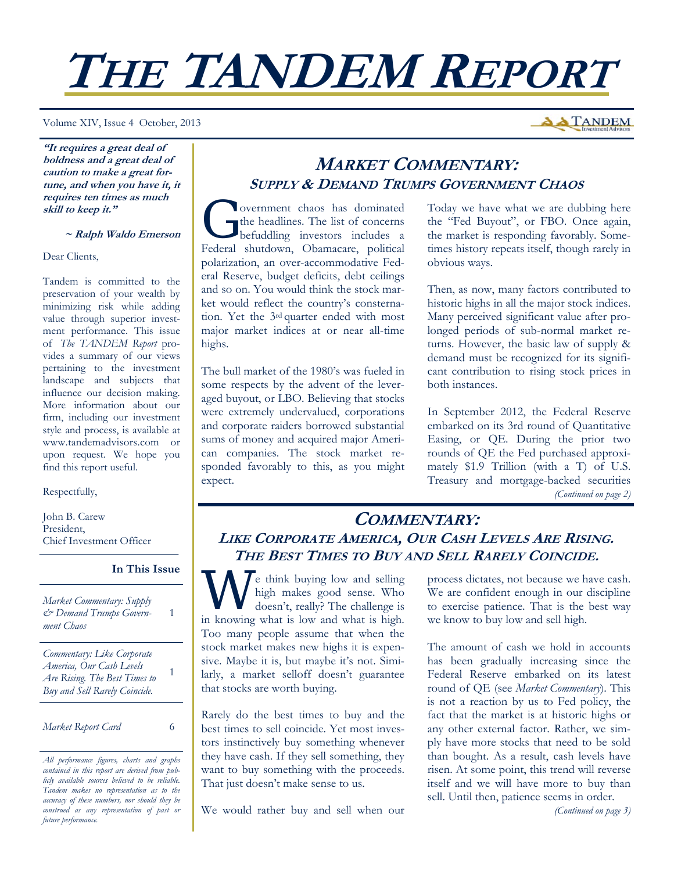# **THE TANDEM REPORT**

Volume XIV, Issue 4 October, 2013

**"It requires a great deal of boldness and a great deal of caution to make a great fortune, and when you have it, it requires ten times as much skill to keep it."** 

#### **~ Ralph Waldo Emerson**

Dear Clients,

Tandem is committed to the preservation of your wealth by minimizing risk while adding value through superior investment performance. This issue of *The TANDEM Report* provides a summary of our views pertaining to the investment landscape and subjects that influence our decision making. More information about our firm, including our investment style and process, is available at www.tandemadvisors.com or upon request. We hope you find this report useful.

#### Respectfully,

John B. Carew President, Chief Investment Officer

#### **In This Issue**

1

1

*Market Commentary: Supply & Demand Trumps Government Chaos* 

*Commentary: Like Corporate America, Our Cash Levels Are Rising. The Best Times to Buy and Sell Rarely Coincide.* 

#### *Market Report Card* 6

*All performance figures, charts and graphs contained in this report are derived from publicly available sources believed to be reliable. Tandem makes no representation as to the accuracy of these numbers, nor should they be construed as any representation of past or future performance.* 

## **MARKET COMMENTARY: SUPPLY & DEMAND TRUMPS GOVERNMENT CHAOS**

G overnment chaos has dominated<br>the headlines. The list of concerns<br>befuddling investors includes a the headlines. The list of concerns befuddling investors includes a Federal shutdown, Obamacare, political polarization, an over-accommodative Federal Reserve, budget deficits, debt ceilings and so on. You would think the stock market would reflect the country's consternation. Yet the 3rd quarter ended with most major market indices at or near all-time highs.

The bull market of the 1980's was fueled in some respects by the advent of the leveraged buyout, or LBO. Believing that stocks were extremely undervalued, corporations and corporate raiders borrowed substantial sums of money and acquired major American companies. The stock market responded favorably to this, as you might expect.

Today we have what we are dubbing here the "Fed Buyout", or FBO. Once again, the market is responding favorably. Sometimes history repeats itself, though rarely in obvious ways.

Then, as now, many factors contributed to historic highs in all the major stock indices. Many perceived significant value after prolonged periods of sub-normal market returns. However, the basic law of supply & demand must be recognized for its significant contribution to rising stock prices in both instances.

In September 2012, the Federal Reserve embarked on its 3rd round of Quantitative Easing, or QE. During the prior two rounds of QE the Fed purchased approximately \$1.9 Trillion (with a T) of U.S. Treasury and mortgage-backed securities *(Continued on page 2)* 

## **COMMENTARY: LIKE CORPORATE AMERICA, OUR CASH LEVELS ARE RISING. THE BEST TIMES TO BUY AND SELL RARELY COINCIDE.**

We think buying low and selling<br>high makes good sense. Who<br>doesn't, really? The challenge is high makes good sense. Who doesn't, really? The challenge is in knowing what is low and what is high. Too many people assume that when the stock market makes new highs it is expensive. Maybe it is, but maybe it's not. Similarly, a market selloff doesn't guarantee that stocks are worth buying.

Rarely do the best times to buy and the best times to sell coincide. Yet most investors instinctively buy something whenever they have cash. If they sell something, they want to buy something with the proceeds. That just doesn't make sense to us.

We would rather buy and sell when our

process dictates, not because we have cash. We are confident enough in our discipline to exercise patience. That is the best way we know to buy low and sell high.

The amount of cash we hold in accounts has been gradually increasing since the Federal Reserve embarked on its latest round of QE (see *Market Commentary*). This is not a reaction by us to Fed policy, the fact that the market is at historic highs or any other external factor. Rather, we simply have more stocks that need to be sold than bought. As a result, cash levels have risen. At some point, this trend will reverse itself and we will have more to buy than sell. Until then, patience seems in order.

*(Continued on page 3)* 

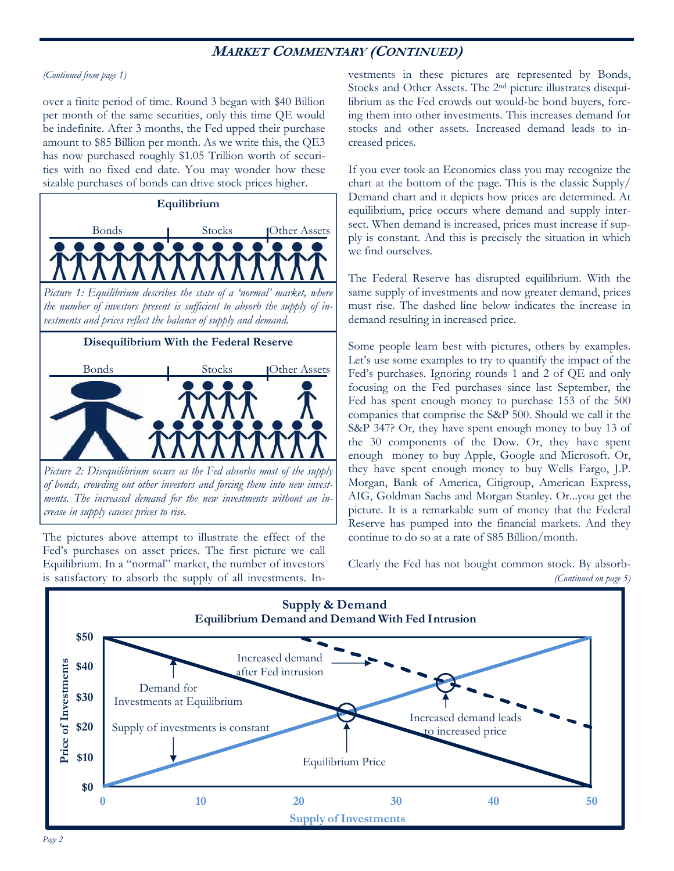## **MARKET COMMENTARY (CONTINUED)**

#### *(Continued from page 1)*

over a finite period of time. Round 3 began with \$40 Billion per month of the same securities, only this time QE would be indefinite. After 3 months, the Fed upped their purchase amount to \$85 Billion per month. As we write this, the QE3 has now purchased roughly \$1.05 Trillion worth of securities with no fixed end date. You may wonder how these sizable purchases of bonds can drive stock prices higher.



*Picture 2: Disequilibrium occurs as the Fed absorbs most of the supply of bonds, crowding out other investors and forcing them into new investments. The increased demand for the new investments without an increase in supply causes prices to rise.* 

The pictures above attempt to illustrate the effect of the Fed's purchases on asset prices. The first picture we call Equilibrium. In a "normal" market, the number of investors is satisfactory to absorb the supply of all investments. Investments in these pictures are represented by Bonds, Stocks and Other Assets. The 2nd picture illustrates disequilibrium as the Fed crowds out would-be bond buyers, forcing them into other investments. This increases demand for stocks and other assets. Increased demand leads to increased prices.

If you ever took an Economics class you may recognize the chart at the bottom of the page. This is the classic Supply/ Demand chart and it depicts how prices are determined. At equilibrium, price occurs where demand and supply intersect. When demand is increased, prices must increase if supply is constant. And this is precisely the situation in which we find ourselves.

The Federal Reserve has disrupted equilibrium. With the same supply of investments and now greater demand, prices must rise. The dashed line below indicates the increase in demand resulting in increased price.

Some people learn best with pictures, others by examples. Let's use some examples to try to quantify the impact of the Fed's purchases. Ignoring rounds 1 and 2 of QE and only focusing on the Fed purchases since last September, the Fed has spent enough money to purchase 153 of the 500 companies that comprise the S&P 500. Should we call it the S&P 347? Or, they have spent enough money to buy 13 of the 30 components of the Dow. Or, they have spent enough money to buy Apple, Google and Microsoft. Or, they have spent enough money to buy Wells Fargo, J.P. Morgan, Bank of America, Citigroup, American Express, AIG, Goldman Sachs and Morgan Stanley. Or...you get the picture. It is a remarkable sum of money that the Federal Reserve has pumped into the financial markets. And they continue to do so at a rate of \$85 Billion/month.

Clearly the Fed has not bought common stock. By absorb- *(Continued on page 5)* 

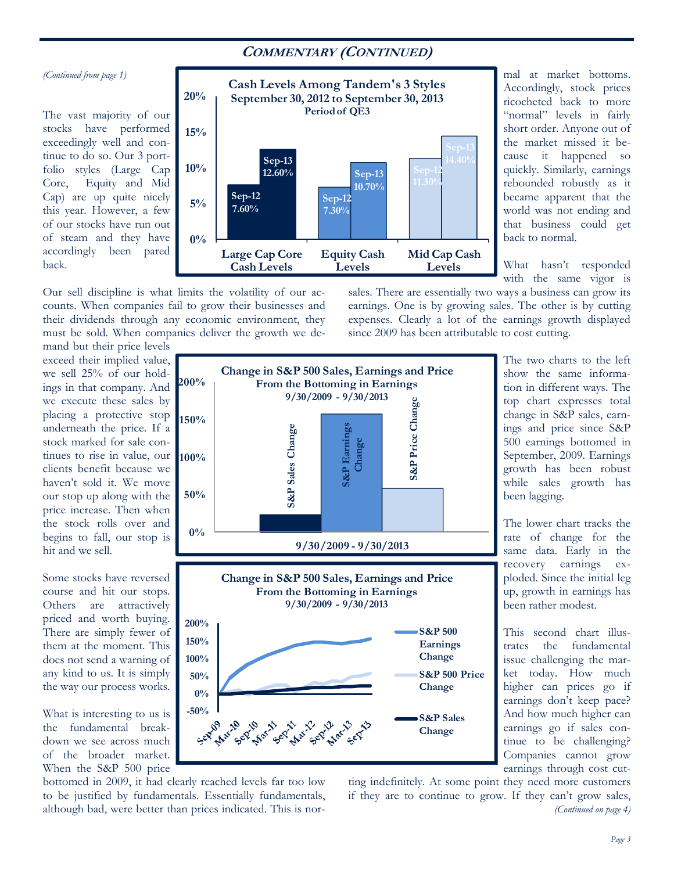## **COMMENTARY (CONTINUED)**

#### *(Continued from page 1)*

The vast majority of our stocks have performed exceedingly well and continue to do so. Our 3 portfolio styles (Large Cap Core, Equity and Mid Cap) are up quite nicely this year. However, a few of our stocks have run out of steam and they have accordingly been pared back.



Our sell discipline is what limits the volatility of our accounts. When companies fail to grow their businesses and their dividends through any economic environment, they must be sold. When companies deliver the growth we de-

"normal" levels in fairly short order. Anyone out of the market missed it because it happened so quickly. Similarly, earnings rebounded robustly as it became apparent that the world was not ending and that business could get back to normal.

mal at market bottoms. Accordingly, stock prices ricocheted back to more

What hasn't responded with the same vigor is

sales. There are essentially two ways a business can grow its earnings. One is by growing sales. The other is by cutting expenses. Clearly a lot of the earnings growth displayed since 2009 has been attributable to cost cutting.

mand but their price levels exceed their implied value, we sell 25% of our holdings in that company. And **200%** we execute these sales by placing a protective stop underneath the price. If a stock marked for sale continues to rise in value, our **100%** clients benefit because we haven't sold it. We move our stop up along with the price increase. Then when the stock rolls over and begins to fall, our stop is hit and we sell.

Some stocks have reversed course and hit our stops. Others are attractively priced and worth buying. There are simply fewer of them at the moment. This does not send a warning of any kind to us. It is simply the way our process works.

What is interesting to us is the fundamental breakdown we see across much of the broader market. When the S&P 500 price



bottomed in 2009, it had clearly reached levels far too low to be justified by fundamentals. Essentially fundamentals, although bad, were better than prices indicated. This is norting indefinitely. At some point they need more customers if they are to continue to grow. If they can't grow sales, *(Continued on page 4)* 

The two charts to the left show the same information in different ways. The top chart expresses total change in S&P sales, earnings and price since S&P 500 earnings bottomed in September, 2009. Earnings growth has been robust while sales growth has been lagging.

The lower chart tracks the rate of change for the same data. Early in the recovery earnings exploded. Since the initial leg up, growth in earnings has been rather modest.

This second chart illustrates the fundamental issue challenging the market today. How much higher can prices go if earnings don't keep pace? And how much higher can earnings go if sales continue to be challenging? Companies cannot grow earnings through cost cut-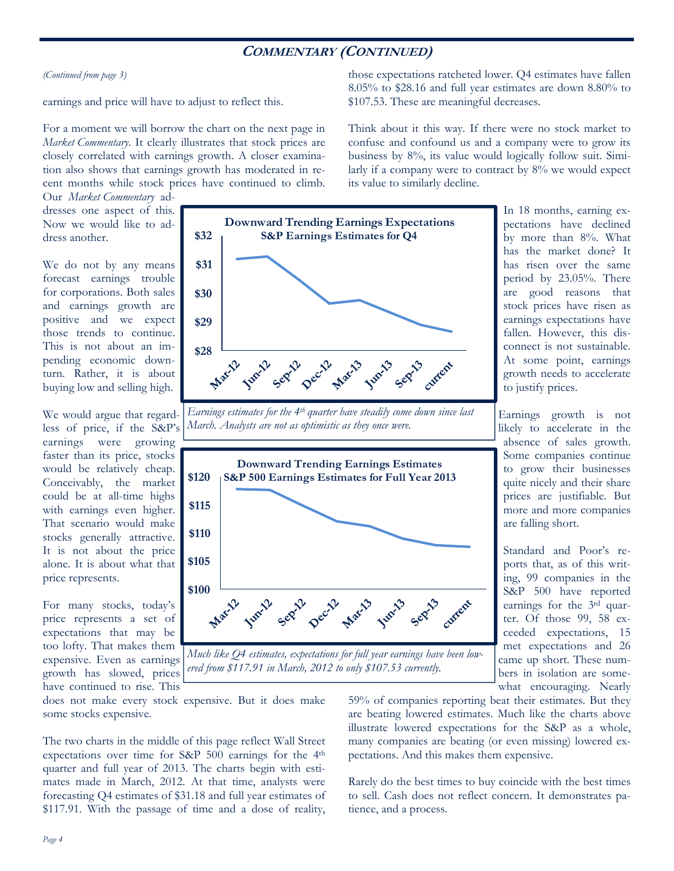## **COMMENTARY (CONTINUED)**

*(Continued from page 3)* 

earnings and price will have to adjust to reflect this.

For a moment we will borrow the chart on the next page in *Market Commentary*. It clearly illustrates that stock prices are closely correlated with earnings growth. A closer examination also shows that earnings growth has moderated in recent months while stock prices have continued to climb.

Our *Market Commentary* addresses one aspect of this. Now we would like to address another.

We do not by any means forecast earnings trouble for corporations. Both sales and earnings growth are positive and we expect those trends to continue. This is not about an impending economic downturn. Rather, it is about buying low and selling high.

We would argue that regardless of price, if the S&P's earnings were growing faster than its price, stocks would be relatively cheap. Conceivably, the market could be at all-time highs with earnings even higher. That scenario would make stocks generally attractive. It is not about the price alone. It is about what that price represents.

For many stocks, today's price represents a set of expectations that may be too lofty. That makes them expensive. Even as earnings growth has slowed, prices have continued to rise. This



*Earnings estimates for the 4th quarter have steadily come down since last March. Analysts are not as optimistic as they once were.* 



In 18 months, earning expectations have declined by more than 8%. What has the market done? It has risen over the same period by 23.05%. There are good reasons that stock prices have risen as earnings expectations have fallen. However, this disconnect is not sustainable. At some point, earnings growth needs to accelerate to justify prices.

those expectations ratcheted lower. Q4 estimates have fallen 8.05% to \$28.16 and full year estimates are down 8.80% to

Think about it this way. If there were no stock market to confuse and confound us and a company were to grow its business by 8%, its value would logically follow suit. Similarly if a company were to contract by 8% we would expect

\$107.53. These are meaningful decreases.

its value to similarly decline.

Earnings growth is not likely to accelerate in the absence of sales growth. Some companies continue to grow their businesses quite nicely and their share prices are justifiable. But more and more companies are falling short.

Standard and Poor's reports that, as of this writing, 99 companies in the S&P 500 have reported earnings for the 3rd quarter. Of those 99, 58 exceeded expectations, 15 met expectations and 26 came up short. These numbers in isolation are somewhat encouraging. Nearly

does not make every stock expensive. But it does make some stocks expensive.

The two charts in the middle of this page reflect Wall Street expectations over time for S&P 500 earnings for the 4th quarter and full year of 2013. The charts begin with estimates made in March, 2012. At that time, analysts were forecasting Q4 estimates of \$31.18 and full year estimates of \$117.91. With the passage of time and a dose of reality, 59% of companies reporting beat their estimates. But they are beating lowered estimates. Much like the charts above illustrate lowered expectations for the S&P as a whole, many companies are beating (or even missing) lowered expectations. And this makes them expensive.

Rarely do the best times to buy coincide with the best times to sell. Cash does not reflect concern. It demonstrates patience, and a process.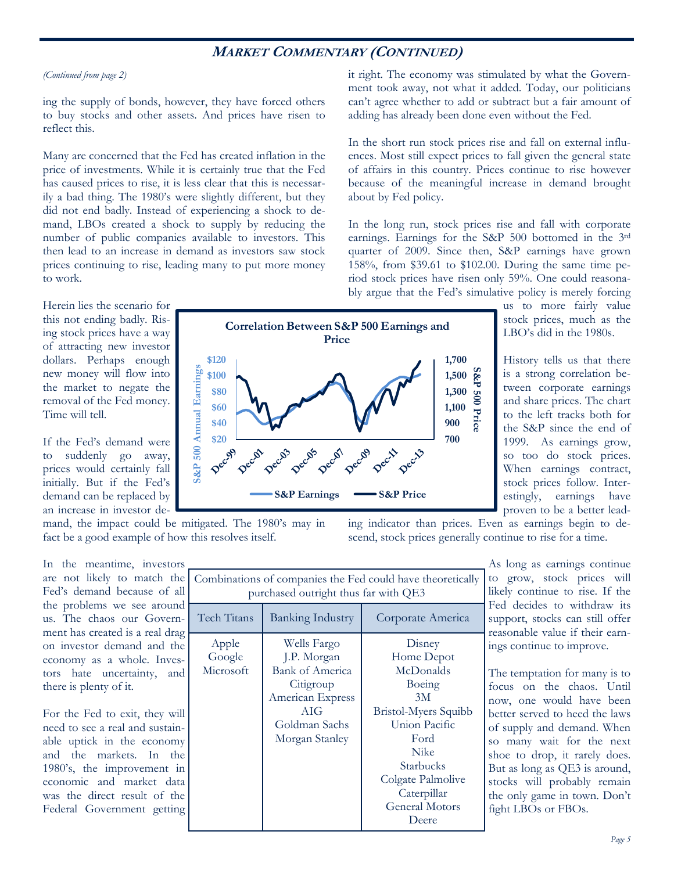## **MARKET COMMENTARY (CONTINUED)**

#### *(Continued from page 2)*

ing the supply of bonds, however, they have forced others to buy stocks and other assets. And prices have risen to reflect this.

Many are concerned that the Fed has created inflation in the price of investments. While it is certainly true that the Fed has caused prices to rise, it is less clear that this is necessarily a bad thing. The 1980's were slightly different, but they did not end badly. Instead of experiencing a shock to demand, LBOs created a shock to supply by reducing the number of public companies available to investors. This then lead to an increase in demand as investors saw stock prices continuing to rise, leading many to put more money to work.

it right. The economy was stimulated by what the Government took away, not what it added. Today, our politicians can't agree whether to add or subtract but a fair amount of adding has already been done even without the Fed.

In the short run stock prices rise and fall on external influences. Most still expect prices to fall given the general state of affairs in this country. Prices continue to rise however because of the meaningful increase in demand brought about by Fed policy.

In the long run, stock prices rise and fall with corporate earnings. Earnings for the S&P 500 bottomed in the 3rd quarter of 2009. Since then, S&P earnings have grown 158%, from \$39.61 to \$102.00. During the same time period stock prices have risen only 59%. One could reasonably argue that the Fed's simulative policy is merely forcing

ing indicator than prices. Even as earnings begin to descend, stock prices generally continue to rise for a time.

Herein lies the scenario for this not ending badly. Rising stock prices have a way of attracting new investor dollars. Perhaps enough new money will flow into the market to negate the removal of the Fed money. Time will tell.

If the Fed's demand were to suddenly go away, prices would certainly fall initially. But if the Fed's demand can be replaced by an increase in investor de-



us to more fairly value stock prices, much as the LBO's did in the 1980s.

History tells us that there is a strong correlation between corporate earnings and share prices. The chart to the left tracks both for the S&P since the end of 1999. As earnings grow, so too do stock prices. When earnings contract, stock prices follow. Interestingly, earnings have proven to be a better lead-

mand, the impact could be mitigated. The 1980's may in fact be a good example of how this resolves itself.

In the meantime, investors are not likely to match the Fed's demand because of all the problems we see around us. The chaos our Government has created is a real drag on investor demand and the economy as a whole. Investors hate uncertainty, and there is plenty of it.

For the Fed to exit, they will need to see a real and sustainable uptick in the economy and the markets. In the 1980's, the improvement in economic and market data was the direct result of the Federal Government getting

| Combinations of companies the Fed could have theoretically<br>purchased outright thus far with QE3 |                                                                                                                          |                                                                                                                                       |  |  |  |  |  |  |
|----------------------------------------------------------------------------------------------------|--------------------------------------------------------------------------------------------------------------------------|---------------------------------------------------------------------------------------------------------------------------------------|--|--|--|--|--|--|
| Tech Titans                                                                                        | <b>Banking Industry</b>                                                                                                  | Corporate America                                                                                                                     |  |  |  |  |  |  |
| Apple<br>Google<br>Microsoft                                                                       | Wells Fargo<br>J.P. Morgan<br>Bank of America<br>Citigroup<br>American Express<br>AIG<br>Goldman Sachs<br>Morgan Stanley | Disney<br>Home Depot<br>McDonalds<br>Boeing<br>3M<br><b>Bristol-Myers Squibb</b><br>Union Pacific<br>Ford<br><b>Nike</b><br>Starbucks |  |  |  |  |  |  |
|                                                                                                    |                                                                                                                          | Colgate Palmolive<br>Caterpillar<br><b>General Motors</b><br>Deere                                                                    |  |  |  |  |  |  |

As long as earnings continue to grow, stock prices will likely continue to rise. If the Fed decides to withdraw its support, stocks can still offer reasonable value if their earnings continue to improve.

The temptation for many is to focus on the chaos. Until now, one would have been better served to heed the laws of supply and demand. When so many wait for the next shoe to drop, it rarely does. But as long as QE3 is around, stocks will probably remain the only game in town. Don't fight LBOs or FBOs.